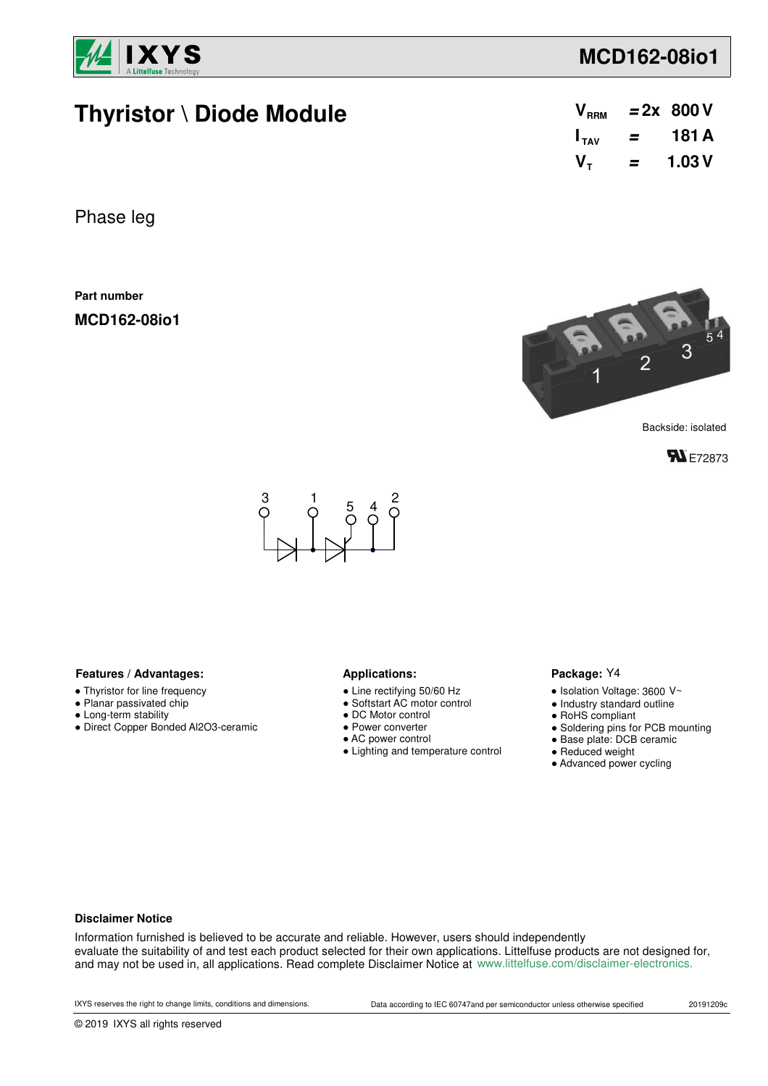

# **Thyristor \ Diode Module**

| $\bm{{\mathsf{V}}}_{\text{\tiny{RRM}}}$ |   | $= 2x 800V$ |
|-----------------------------------------|---|-------------|
| $\mathsf{I}_{\mathsf{TAV}}$             | = | 181 A       |
| $\mathsf{V}_\tau$                       | = | 1.03V       |

Phase leg

**Part number**

**MCD162-08io1**



Backside: isolated





#### Features / Advantages: **All Applications: Applications:**

- Thyristor for line frequency
- Planar passivated chip
- Long-term stability
- Direct Copper Bonded Al2O3-ceramic

- Line rectifying 50/60 Hz
- Softstart AC motor control
- DC Motor control
- Power converter
- AC power control
- Lighting and temperature control

#### Package: Y4

- $\bullet$  Isolation Voltage: 3600 V~
- Industry standard outline
- RoHS compliant
- Soldering pins for PCB mounting
- Base plate: DCB ceramic
- Reduced weight
- Advanced power cycling

#### **Disclaimer Notice**

Information furnished is believed to be accurate and reliable. However, users should independently evaluate the suitability of and test each product selected for their own applications. Littelfuse products are not designed for, and may not be used in, all applications. Read complete Disclaimer Notice at www.littelfuse.com/disclaimer-electronics.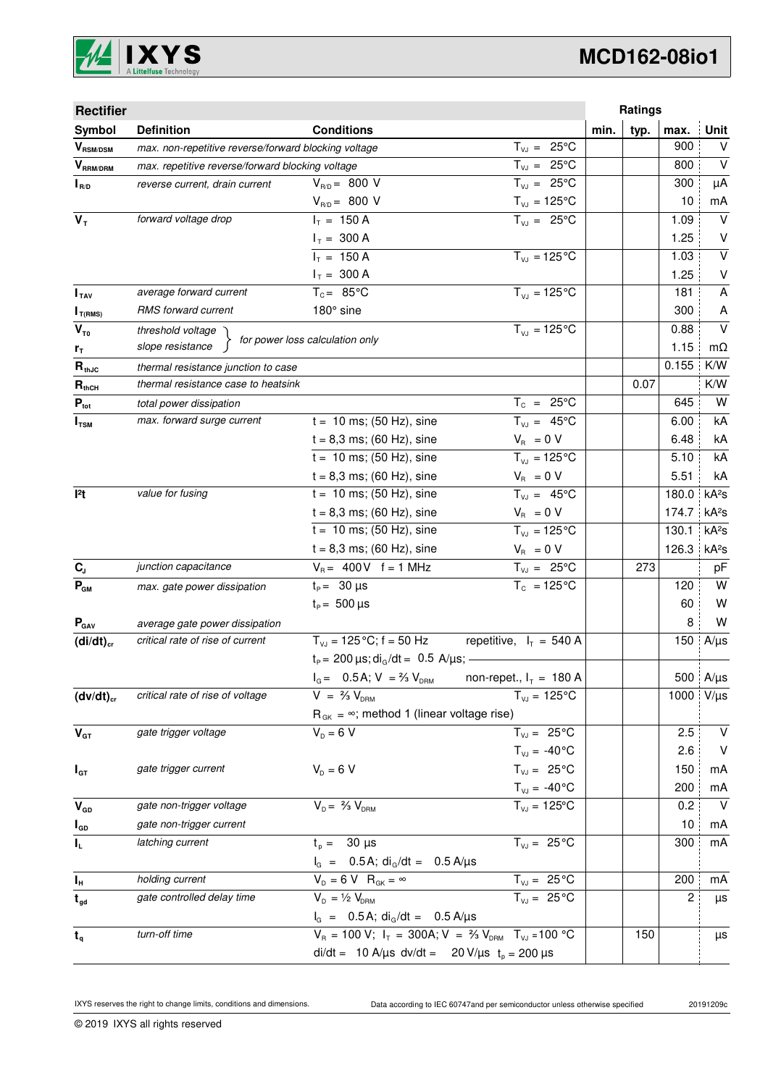

| <b>Rectifier</b>           |                                                      |                                                                            |                           |      | Ratings |       |                   |
|----------------------------|------------------------------------------------------|----------------------------------------------------------------------------|---------------------------|------|---------|-------|-------------------|
| Symbol                     | <b>Definition</b>                                    | <b>Conditions</b>                                                          |                           | min. | typ.    | max.  | <b>Unit</b>       |
| $V_{\text{RSM/DSM}}$       | max. non-repetitive reverse/forward blocking voltage |                                                                            | $T_{VJ} = 25^{\circ}C$    |      |         | 900   | V                 |
| $V_{\tiny\text{RRM/DRM}}$  | max. repetitive reverse/forward blocking voltage     |                                                                            | $T_{VJ} = 25^{\circ}C$    |      |         | 800   | $\vee$            |
| $I_{R/D}$                  | reverse current, drain current                       | $V_{R/D} = 800 V$                                                          | $T_{VJ} = 25^{\circ}C$    |      |         | 300   | μA                |
|                            |                                                      | $V_{R/D} = 800 V$                                                          | $T_{VJ} = 125^{\circ}C$   |      |         | 10    | mA                |
| $V_T$                      | forward voltage drop                                 | $I_T = 150 A$                                                              | $T_{VJ} = 25^{\circ}C$    |      |         | 1.09  | $\vee$            |
|                            |                                                      | $I_T = 300 A$                                                              |                           |      |         | 1.25  | $\vee$            |
|                            |                                                      | $I_T = 150 A$                                                              | $T_{VJ} = 125$ °C         |      |         | 1.03  | $\sf V$           |
|                            |                                                      | $I_T = 300 A$                                                              |                           |      |         | 1.25  | $\vee$            |
| I <sub>TAV</sub>           | average forward current                              | $T_c = 85^{\circ}$ C                                                       | $T_{V1} = 125^{\circ}C$   |      |         | 181   | Α                 |
| $I_{T(RMS)}$               | <b>RMS</b> forward current                           | 180° sine                                                                  |                           |      |         | 300   | A                 |
| $V_{\tau_0}$               | threshold voltage                                    | for power loss calculation only                                            | $T_{V,1} = 125^{\circ}C$  |      |         | 0.88  | $\vee$            |
| r <sub>T</sub>             | slope resistance                                     |                                                                            |                           |      |         | 1.15  | mΩ                |
| $R_{thJC}$                 | thermal resistance junction to case                  |                                                                            |                           |      |         | 0.155 | K/W               |
| $R_{thCH}$                 | thermal resistance case to heatsink                  |                                                                            |                           |      | 0.07    |       | K/W               |
| $P_{\text{tot}}$           | total power dissipation                              |                                                                            | $T_c = 25^{\circ}C$       |      |         | 645   | W                 |
| $I_{TSM}$                  | max. forward surge current                           | $t = 10$ ms; (50 Hz), sine                                                 | $T_{V,I} = 45^{\circ}C$   |      |         | 6.00  | kA                |
|                            |                                                      | $t = 8,3$ ms; (60 Hz), sine                                                | $V_{\rm R} = 0 V$         |      |         | 6.48  | kA                |
|                            |                                                      | $t = 10$ ms; (50 Hz), sine                                                 | $T_{VJ} = 125^{\circ}C$   |      |         | 5.10  | kA                |
|                            |                                                      | $t = 8,3$ ms; (60 Hz), sine                                                | $V_{\rm B} = 0 V$         |      |         | 5.51  | kA                |
| $ ^{2}t$                   | value for fusing                                     | $t = 10$ ms; (50 Hz), sine                                                 | $T_{VJ} = 45^{\circ}C$    |      |         | 180.0 | kA <sup>2</sup> S |
|                            |                                                      | $t = 8,3$ ms; (60 Hz), sine                                                | $V_{\rm R} = 0 V$         |      |         | 174.7 | kA <sup>2</sup> s |
|                            |                                                      | $t = 10$ ms; (50 Hz), sine                                                 | $T_{VJ} = 125^{\circ}C$   |      |         | 130.1 | kA <sup>2</sup> s |
|                            |                                                      | $t = 8,3$ ms; (60 Hz), sine                                                | $V_{\rm R} = 0 V$         |      |         | 126.3 | kA <sup>2</sup> s |
| $C_{J}$                    | junction capacitance                                 | $V_B = 400V$ f = 1 MHz                                                     | $T_{VJ} = 25^{\circ}C$    |      | 273     |       | pF                |
| $P_{GM}$                   | max. gate power dissipation                          | $t_{p} = 30 \,\mu s$                                                       | $T_c = 125^{\circ}C$      |      |         | 120   | W                 |
|                            |                                                      | $t_{\rm p} = 500 \,\mu s$                                                  |                           |      |         | 60    | W                 |
| $P_{\text{GAV}}$           | average gate power dissipation                       |                                                                            |                           |      |         | 8     | W                 |
| $(di/dt)_{cr}$             | critical rate of rise of current                     | $T_{vJ} = 125 \degree C$ ; f = 50 Hz                                       | repetitive, $I_T = 540$ A |      |         | 150   | $A/\mu s$         |
|                            |                                                      | $t_P$ = 200 $\mu$ s; di <sub>G</sub> /dt = 0.5 A/ $\mu$ s; -               |                           |      |         |       |                   |
|                            |                                                      | $I_{G} = 0.5A; V = \frac{2}{3} V_{DRM}$                                    | non-repet., $I_T = 180$ A |      |         |       | 500 $A/\mu s$     |
| $(dv/dt)_{cr}$             | critical rate of rise of voltage                     | $V = \frac{2}{3} V_{DBM}$                                                  | $T_{VJ} = 125^{\circ}C$   |      |         | 1000  | $V/\mu s$         |
|                            |                                                      | $R_{GK} = \infty$ ; method 1 (linear voltage rise)                         |                           |      |         |       |                   |
| $V_{GT}$                   | gate trigger voltage                                 | $V_D = 6 V$                                                                | $T_{VJ} = 25^{\circ}C$    |      |         | 2.5   | $\vee$            |
|                            |                                                      |                                                                            | $T_{VJ} = -40^{\circ}C$   |      |         | 2.6   | $\vee$            |
| $I_{GT}$                   | gate trigger current                                 | $V_D = 6 V$                                                                | $T_{VJ} = 25^{\circ}C$    |      |         | 150   | mA                |
|                            |                                                      |                                                                            | $T_{VJ} = -40$ °C         |      |         | 200   | mA                |
| $\mathbf{V}_{\texttt{GD}}$ | gate non-trigger voltage                             | $V_{D} = \frac{2}{3} V_{DBM}$                                              | $T_{VJ} = 125$ °C         |      |         | 0.2   | $\vee$            |
| $I_{GD}$                   | gate non-trigger current                             |                                                                            |                           |      |         | 10    | mA                |
| IL.                        | latching current                                     | $t_{0} = 30 \text{ }\mu\text{s}$                                           | $T_{V,I} = 25^{\circ}C$   |      |         | 300   | mA                |
|                            |                                                      | $I_G = 0.5 A$ ; di <sub>G</sub> /dt = 0.5 A/µs                             |                           |      |         |       |                   |
| I <sub>H</sub>             | holding current                                      | $V_D = 6 V R_{GK} = \infty$                                                | $T_{VJ} = 25 \degree C$   |      |         | 200   | mA                |
| $t_{gd}$                   | gate controlled delay time                           | $V_{D} = \frac{1}{2} V_{DRM}$                                              | $T_{VJ} = 25^{\circ}C$    |      |         | 2     | μs                |
|                            |                                                      | $I_G = 0.5A$ ; di <sub>G</sub> /dt = 0.5 A/µs                              |                           |      |         |       |                   |
| $t_q$                      | turn-off time                                        | $V_R = 100 V$ ; $I_T = 300A$ ; $V = \frac{2}{3} V_{DRM}$ $T_{VJ} = 100 °C$ |                           |      | 150     |       | μs                |
|                            |                                                      | di/dt = 10 A/µs dv/dt = 20 V/µs $t_p = 200 \mu s$                          |                           |      |         |       |                   |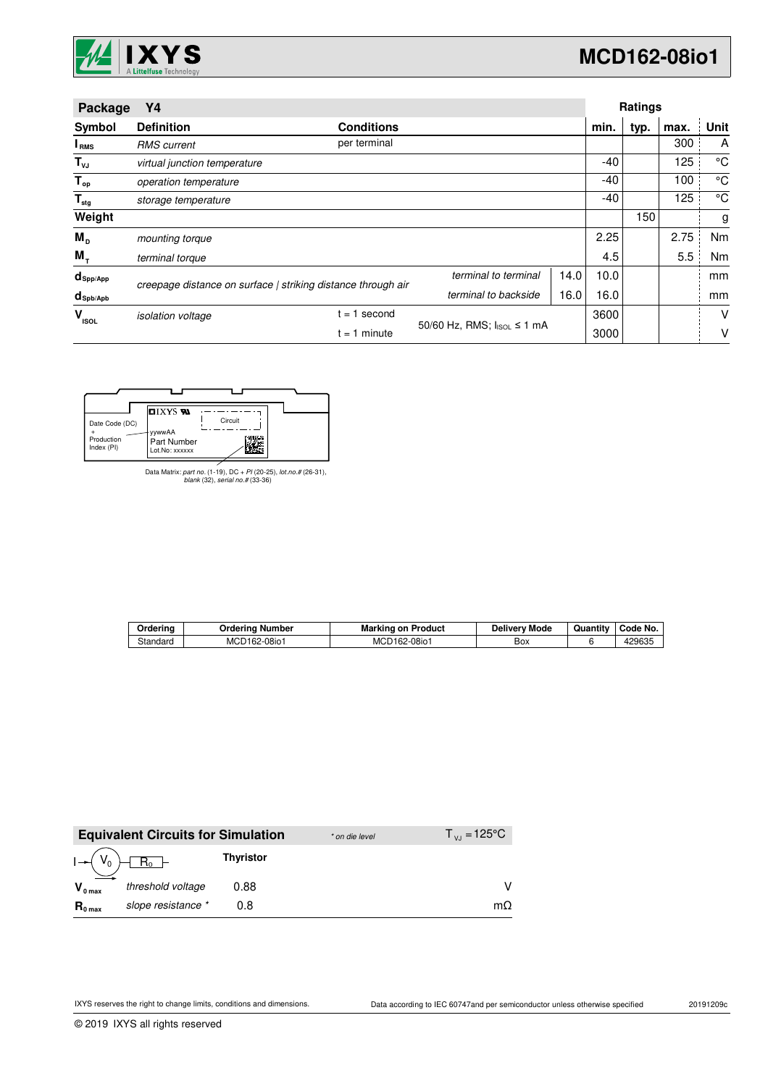

| Package                   | Υ4                           |                                                              |                            |      |      |      | <b>Ratings</b> |      |  |
|---------------------------|------------------------------|--------------------------------------------------------------|----------------------------|------|------|------|----------------|------|--|
| Symbol                    | <b>Definition</b>            | <b>Conditions</b>                                            |                            |      | min. | typ. | max.           | Unit |  |
| <b>I</b> <sub>RMS</sub>   | <b>RMS</b> current           | per terminal                                                 |                            |      |      |      | 300            | A    |  |
| $T_{\nu J}$               | virtual junction temperature |                                                              |                            |      | -40  |      | 125            | °C   |  |
| $T_{op}$                  | operation temperature        |                                                              |                            |      | -40  |      | 100            | °C   |  |
| $\mathsf{T}_{\text{stg}}$ | storage temperature          |                                                              |                            |      | -40  |      | 125            | °C   |  |
| Weight                    |                              |                                                              |                            |      |      | 150  |                | g    |  |
| $M_{\rm{D}}$              | mounting torque              |                                                              |                            |      | 2.25 |      | 2.75           | Nm   |  |
| $M_{\tau}$                | terminal torque              |                                                              |                            |      | 4.5  |      | 5.5            | Nm   |  |
| $d_{\mathsf{Spp/App}}$    |                              | creepage distance on surface   striking distance through air | terminal to terminal       | 14.0 | 10.0 |      |                | mm   |  |
| $d_{\text{sph/Apb}}$      |                              |                                                              | terminal to backside       | 16.0 | 16.0 |      |                | mm   |  |
| v<br><b>ISOL</b>          | <i>isolation</i> voltage     | $= 1$ second                                                 |                            |      | 3600 |      |                | V    |  |
|                           |                              | $t = 1$ minute                                               | 50/60 Hz, RMS; IsoL ≤ 1 mA |      | 3000 |      |                | ٧    |  |

| <b>DIXYS SA</b><br>Circuit<br>Date Code (DC)<br>yywwAA<br>Production |             |  |
|----------------------------------------------------------------------|-------------|--|
|                                                                      |             |  |
| Index (PI)<br>Lot.No: xxxxxx                                         | Part Number |  |

Data Matrix: part no. (1-19), DC + PI (20-25), lot.no.# (26-31), blank (32), serial no.# (33-36)

| Orderina | Ordering<br>. Number | Marking on<br>Product | Deliverv Mode | Quantity | Code No.        |
|----------|----------------------|-----------------------|---------------|----------|-----------------|
| Standard | MCD162-08io1         | MCD162-08io1          | Box           |          | 100005<br>≀∠ບບວ |

|                     | <b>Equivalent Circuits for Simulation</b> |                  | * on die level | $T_{V,1} = 125^{\circ}C$ |
|---------------------|-------------------------------------------|------------------|----------------|--------------------------|
| $I - (V_0)$         | $R_0$                                     | <b>Thyristor</b> |                |                          |
| $V_{0 \text{ max}}$ | threshold voltage                         | 0.88             |                |                          |
| $R_{0 \text{ max}}$ | slope resistance *                        | 0.8              |                | mΩ                       |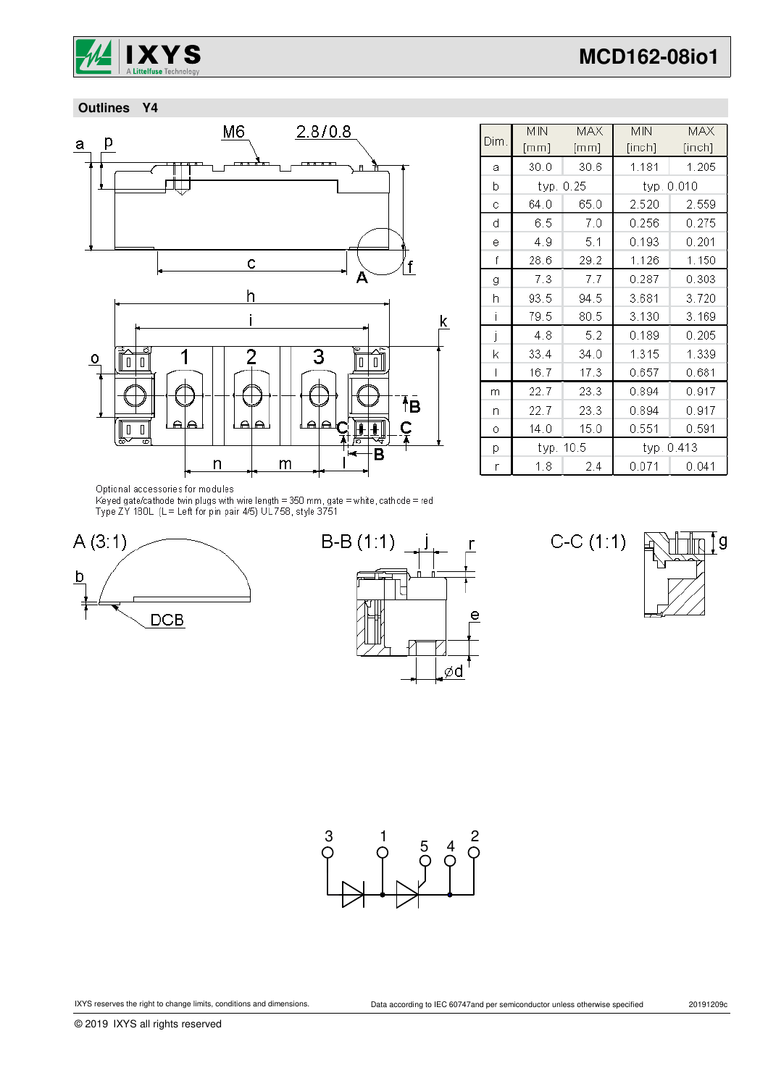

 **Outlines Y4**



|      | <b>MIN</b> | <b>MAX</b> | <b>MIN</b> | <b>MAX</b> |
|------|------------|------------|------------|------------|
| Dim. | [mm]       | [mm]       | [inch]     | [inch]     |
| a    | 30.0       | 30.6       | 1.181      | 1.205      |
| b    | typ. 0.25  |            | typ. 0.010 |            |
| Ċ    | 64.0       | 65.0       | 2.520      | 2.559      |
| d    | 6.5        | 7.0        | 0.256      | 0.275      |
| ė    | 4.9        | 5.1        | 0.193      | 0.201      |
| f    | 28.6       | 29.2       | 1.126      | 1.150      |
| g    | 7.3        | 7.7        | 0.287      | 0.303      |
| h    | 93.5       | 94.5       | 3.681      | 3.720      |
| Ť    | 79.5       | 80.5       | 3.130      | 3.169      |
| j    | 4.8        | 5.2        | 0.189      | 0.205      |
| k    | 33.4       | 34.0       | 1.315      | 1.339      |
| I    | 16.7       | 17.3       | 0.657      | 0.681      |
| m    | 22.7       | 23.3       | 0.894      | 0.917      |
| n    | 22.7       | 23.3       | 0.894      | 0.917      |
| 0    | 14.0       | 15.0       | 0.551      | 0.591      |
| p    | typ. 10.5  |            | typ. 0.413 |            |
| r    | 1.8        | 2.4        | 0.071      | 0.041      |

Optional accessories for modules

Keyed gate/cathode twin plugs with wire length = 350 mm, gate = white, cathode = red<br>Type ZY 180L (L = Left for pin pair 4/5) UL758, style 3751





 $C-C(1:1)$ 



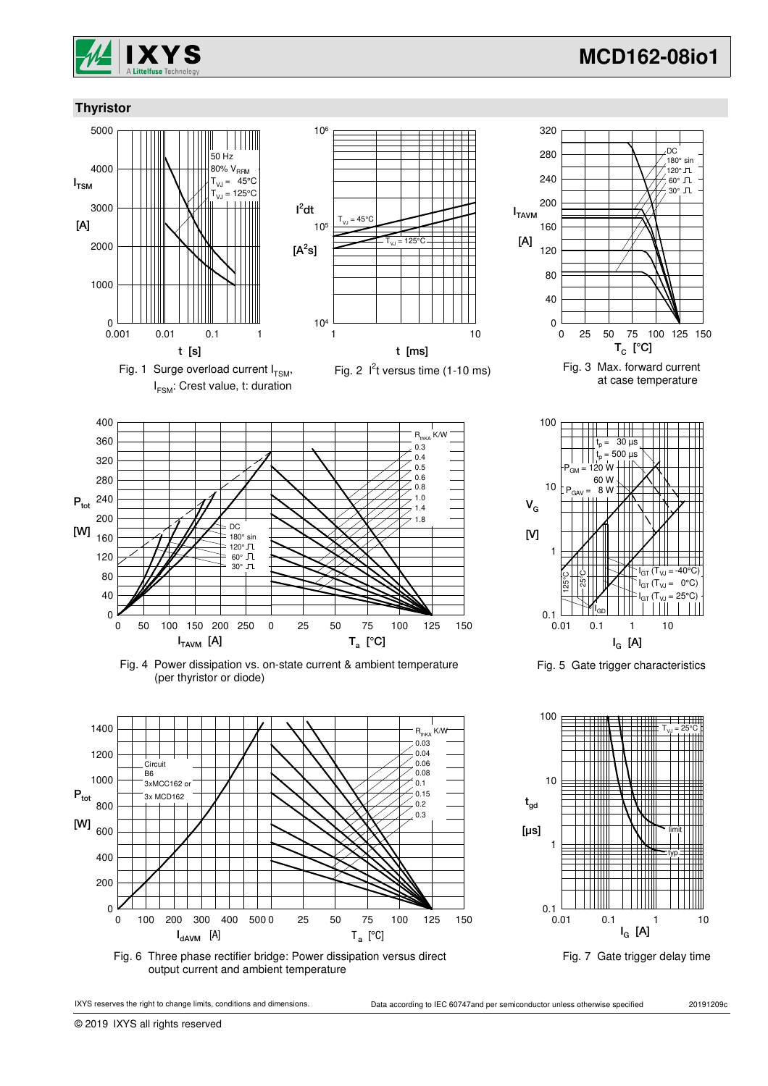

.<br>.180° sin .....<br>120° Л. 60° 30° JL

DC

### **Thyristor**



I FSM: Crest value, t: duration







Fig. 4 Power dissipation vs. on-state current & ambient temperature (per thyristor or diode)



Fig. 6 Three phase rectifier bridge: Power dissipation versus direct output current and ambient temperature



 $T_C$  [°C]

at case temperature

0 25 50 75 100 125 150

 $I_{TAVM}$ 

[A]

Fig. 5 Gate trigger characteristics





© 2019 IXYS all rights reserved